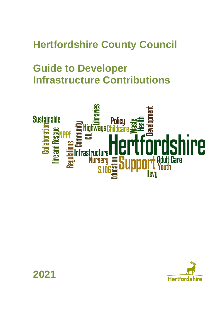# **Hertfordshire County Council**

# **Guide to Developer Infrastructure Contributions**





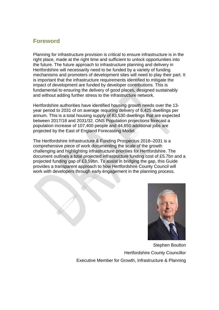# **Foreword**

Planning for infrastructure provision is critical to ensure infrastructure is in the right place, made at the right time and sufficient to unlock opportunities into the future. The future approach to infrastructure planning and delivery in Hertfordshire will necessarily need to be funded by a variety of funding mechanisms and promoters of development sites will need to play their part. It is important that the infrastructure requirements identified to mitigate the impact of development are funded by developer contributions. This is fundamental to ensuring the delivery of good places, designed sustainably and without adding further stress to the infrastructure network.

Hertfordshire authorities have identified housing growth needs over the 13 year period to 2031 of on average requiring delivery of 6,425 dwellings per annum. This is a total housing supply of 83,530 dwellings that are expected between 2017/18 and 2031/32. ONS Population projections forecast a population increase of 107,400 people and 44,650 additional jobs are projected by the East of England Forecasting Model.

The Hertfordshire Infrastructure & Funding Prospectus 2018–2031 is a comprehensive piece of work documenting the scale of the growth challenging and highlighting infrastructure priorities for Hertfordshire. The document outlines a total projected infrastructure funding cost of £5.7bn and a projected funding gap of £3.59bn. To assist in bridging the gap, this Guide provides a transparent approach to how Hertfordshire County Council will work with developers through early engagement in the planning process.



Stephen Boulton Hertfordshire County Councillor Executive Member for Growth, Infrastructure & Planning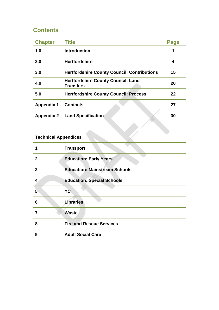# **Contents**

| <b>Chapter</b>    | <b>Title</b>                                                  | Page |
|-------------------|---------------------------------------------------------------|------|
| 1.0               | <b>Introduction</b>                                           | 1    |
| 2.0               | <b>Hertfordshire</b>                                          | 4    |
| 3.0               | <b>Hertfordshire County Council: Contributions</b>            | 15   |
| 4.0               | <b>Hertfordshire County Council: Land</b><br><b>Transfers</b> | 20   |
| 5.0               | <b>Hertfordshire County Council: Process</b>                  | 22   |
| <b>Appendix 1</b> | <b>Contacts</b>                                               | 27   |
| <b>Appendix 2</b> | <b>Land Specification</b>                                     | 30   |

# **Technical Appendices**

| 1              | <b>Transport</b>                     |
|----------------|--------------------------------------|
| $\mathbf{2}$   | <b>Education: Early Years</b>        |
| 3              | <b>Education: Mainstream Schools</b> |
| 4              | <b>Education: Special Schools</b>    |
| $5\phantom{.}$ | YC.                                  |
| 6              | Libraries                            |
| 7              | <b>Waste</b>                         |
| 8              | <b>Fire and Rescue Services</b>      |
| 9              | <b>Adult Social Care</b>             |
|                |                                      |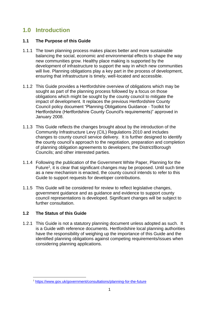# **1.0 Introduction**

# **1.1 The Purpose of this Guide**

- 1.1.1 The town planning process makes places better and more sustainable balancing the social, economic and environmental effects to shape the way new communities grow. Healthy place making is supported by the development of infrastructure to support the way in which new communities will live. Planning obligations play a key part in the process of development, ensuring that infrastructure is timely, well-located and accessible.
- 1.1.2 This Guide provides a Hertfordshire overview of obligations which may be sought as part of the planning process followed by a focus on those obligations which might be sought by the county council to mitigate the impact of development. It replaces the previous Hertfordshire County Council policy document "Planning Obligations Guidance - Toolkit for Hertfordshire (Hertfordshire County Council's requirements)" approved in January 2008.
- 1.1.3 This Guide reflects the changes brought about by the introduction of the Community Infrastructure Levy (CIL) Regulations 2010 and includes changes to county council service delivery. It is further designed to identify the county council's approach to the negotiation, preparation and completion of planning obligation agreements to developers; the District/Borough Councils; and other interested parties.
- 1.1.4 Following the publication of the Government White Paper, Planning for the Future<sup>1</sup>, it is clear that significant changes may be proposed. Until such time as a new mechanism is enacted, the county council intends to refer to this Guide to support requests for developer contributions.
- 1.1.5 This Guide will be considered for review to reflect legislative changes, government guidance and as guidance and evidence to support county council representations is developed. Significant changes will be subject to further consultation.

# **1.2 The Status of this Guide**

1.2.1 This Guide is not a statutory planning document unless adopted as such. It is a Guide with reference documents. Hertfordshire local planning authorities have the responsibility of weighing up the importance of this Guide and the identified planning obligations against competing requirements/issues when considering planning applications.

<sup>1</sup> <https://www.gov.uk/government/consultations/planning-for-the-future>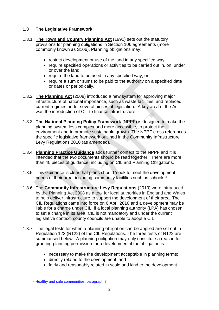# **1.3 The Legislative Framework**

- 1.3.1 **The Town and Country Planning Act** (1990) sets out the statutory provisions for planning obligations in Section 106 agreements (more commonly known as S106). Planning obligations may:
	- restrict development or use of the land in any specified way;
	- require specified operations or activities to be carried out in, on, under or over the land;
	- require the land to be used in any specified way; or
	- require a sum or sums to be paid to the authority on a specified date or dates or periodically.
- 1.3.2 **[The Planning Act](http://www.legislation.gov.uk/ukpga/2008/29/contents)** (2008) introduced a new system for approving major infrastructure of national importance, such as waste facilities, and replaced current regimes under several pieces of legislation. A key area of the Act was the introduction of CIL to finance infrastructure.
- 1.3.3 **The [National Planning Policy Framework](http://www.communities.gov.uk/planningandbuilding/planningsystem/planningpolicy/planningpolicyframework/)** (NPPF) is designed to make the planning system less complex and more accessible, to protect the environment and to promote sustainable growth. The NPPF cross references the specific legislative framework outlined in the Community Infrastructure Levy Regulations 2010 (as amended).
- 1.3.4 **P[lanning Practice Guidance](http://planningguidance.communities.gov.uk/)** adds further context to the NPPF and it is intended that the two documents should be read together. There are more than 40 pieces of guidance, including on CIL and Planning Obligations.
- 1.3.5 This Guidance is clear that plans should 'seek to meet the development needs of their area, including community facilities such as schools'<sup>2</sup> .
- 1.3.6 The **[Community Infrastructure Levy Regulations](http://www.legislation.gov.uk/all?title=community%20infrastructure%20levy)** (2010) were introduced by the Planning Act 2008 as a tool for local authorities in England and Wales to help deliver infrastructure to support the development of their area. The CIL Regulations came into force on 6 April 2010 and a development may be liable for a charge under CIL, if a local planning authority (LPA) has chosen to set a charge in its area. CIL is not mandatory and under the current legislative context, county councils are unable to adopt a CIL.
- 1.3.7 The legal tests for when a planning obligation can be applied are set out in Regulation 122 (R122) of the CIL Regulations. The three tests of R122 are summarised below. A planning obligation may only constitute a reason for granting planning permission for a development if the obligation is:
	- necessary to make the development acceptable in planning terms;
	- directly related to the development; and
	- fairly and reasonably related in scale and kind to the development.

<sup>2</sup> [Healthy and safe communities, paragraph 8.](https://www.gov.uk/guidance/health-and-wellbeing)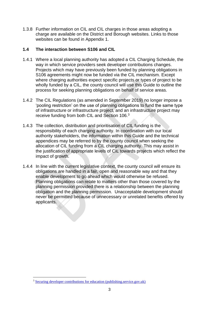1.3.8 Further information on CIL and CIL charges in those areas adopting a charge are available on the District and Borough websites. Links to those websites can be found in Appendix 1.

# **1.4 The interaction between S106 and CIL**

- 1.4.1 Where a local planning authority has adopted a CIL Charging Schedule, the way in which service providers seek developer contributions changes. Projects which may have previously been funded by planning obligations in S106 agreements might now be funded via the CIL mechanism. Except where charging authorities expect specific projects or types of project to be wholly funded by a CIL, the county council will use this Guide to outline the process for seeking planning obligations on behalf of service areas.
- 1.4.2 The CIL Regulations (as amended in September 2019) no longer impose a 'pooling restriction' on the use of planning obligations to fund the same type of infrastructure or infrastructure project, and an infrastructure project may receive funding from both CIL and Section 106.<sup>3</sup>
- 1.4.3 The collection, distribution and prioritisation of CIL funding is the responsibility of each charging authority. In coordination with our local authority stakeholders, the information within this Guide and the technical appendices may be referred to by the county council when seeking the allocation of CIL funding from a CIL charging authority. This may assist in the justification of appropriate levels of CIL towards projects which reflect the impact of growth.
- 1.4.4 In line with the current legislative context, the county council will ensure its obligations are handled in a fair, open and reasonable way and that they enable development to go ahead which would otherwise be refused. Planning obligations can relate to matters other than those covered by the planning permission provided there is a relationship between the planning obligation and the planning permission. Unacceptable development should never be permitted because of unnecessary or unrelated benefits offered by applicants.

<sup>3</sup> [Securing developer contributions for education \(publishing.service.gov.uk\)](https://assets.publishing.service.gov.uk/government/uploads/system/uploads/attachment_data/file/909908/Developer_Contributions_Guidance_update_Nov2019.pdf)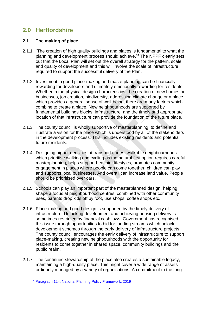# **2.0 Hertfordshire**

# **2.1 The making of place**

- 2.1.1 "The creation of high quality buildings and places is fundamental to what the planning and development process should achieve."<sup>4</sup> The NPPF clearly sets out that the Local Plan will set out the overall strategy for the pattern, scale and quality of development and this will involve the scale of infrastructure required to support the successful delivery of the Plan.
- 2.1.2 Investment in good place-making and masterplanning can be financially rewarding for developers and ultimately emotionally rewarding for residents. Whether in the physical design characteristics, the creation of new homes or businesses, job creation, biodiversity, addressing climate change or a place which provides a general sense of well-being, there are many factors which combine to create a place. New neighbourhoods are supported by fundamental buildings blocks, infrastructure, and the timely and appropriate location of that infrastructure can provide the foundation of the future place.
- 2.1.3 The county council is wholly supportive of masterplanning, to define and illustrate a vision for the place which is understood by all of the stakeholders in the development process. This includes existing residents and potential future residents.
- 2.1.4 Designing higher densities at transport nodes, walkable neighbourhoods which prioritise walking and cycling as the natural first option requires careful masterplanning, helps support healthier lifestyles, promotes community engagement in places where people can come together, children can play and supports local businesses. And overall can increase land value. People should be prioritised over cars.
- 2.1.5 Schools can play an important part of the masterplanned design, helping shape a focus at neighbourhood centres, combined with other community uses, parents drop kids off by foot, use shops, coffee shops etc.
- 2.1.6 Place-making and good design is supported by the timely delivery of infrastructure. Unlocking development and achieving housing delivery is sometimes restricted by financial cashflows. Government has recognised this issue through opportunities to bid for funding streams which unlock development schemes through the early delivery of infrastructure projects. The county council encourages the early delivery of infrastructure to support place-making, creating new neighbourhoods with the opportunity for residents to come together in shared space, community buildings and the public realm.
- 2.1.7 The continued stewardship of the place also creates a sustainable legacy, maintaining a high-quality place. This might cover a wide range of assets ordinarily managed by a variety of organisations. A commitment to the long-

<sup>4</sup> [Paragraph 124, National Planning Policy Framework, 2019](https://www.gov.uk/government/publications/national-planning-policy-framework--2)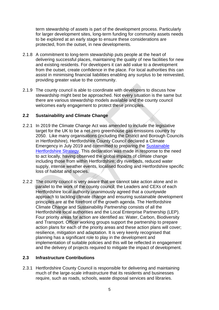term stewardship of assets is part of the development process. Particularly for larger development sites, long-term funding for community assets needs to be explored at an early stage to ensure these considerations are protected, from the outset, in new developments.

- 2.1.8 A commitment to long-term stewardship puts people at the heart of delivering successful places, maintaining the quality of new facilities for new and existing residents. For developers it can add value to a development from the outset, create confidence in the place. For local authorities this can assist in minimising financial liabilities enabling any surplus to be reinvested, providing greater value to the community.
- 2.1.9 The county council is able to coordinate with developers to discuss how stewardship might best be approached. Not every situation is the same but there are various stewardship models available and the county council welcomes early engagement to protect these principles.

# **2.2 Sustainability and Climate Change**

- 2.2.1 In 2019 the Climate Change Act was amended to include the legislative target for the UK to be a net zero greenhouse gas emissions country by 2050. Like many organisations (including the District and Borough Councils in Hertfordshire), Hertfordshire County Council declared a Climate Emergency in July 2019 and committed to preparing the [Sustainable](https://www.hertfordshire.gov.uk/microsites/sustainable-hertfordshire/sustainable-hertfordshire.aspx)  [Hertfordshire Strategy.](https://www.hertfordshire.gov.uk/microsites/sustainable-hertfordshire/sustainable-hertfordshire.aspx) This declaration was made in response to the need to act locally, having observed the global impacts of climate change including those from within Hertfordshire; dry riverbeds, reduced water supply, intense weather events, localised flooding and Hertfordshire specific loss of habitat and species.
- 2.2.2 The county council is very aware that we cannot take action alone and in parallel to the work of the county council, the Leaders and CEXs of each Hertfordshire local authority unanimously agreed that a countywide approach to tackling climate change and ensuring sustainable development principles are at the forefront of the growth agenda. The Hertfordshire Climate Change and Sustainability Partnership consists of all the Hertfordshire local authorities and the Local Enterprise Partnership (LEP). Four priority areas for action are identified as: Water, Carbon, Biodiversity and Transport. Officer working groups support the partnership to prepare action plans for each of the priority areas and these action plans will cover; resilience, mitigation and adaptation. It is very keenly recognised that planning has a significant role to play in the development and implementation of suitable policies and this will be reflected in engagement and the delivery of projects required to mitigate the impact of development.

# **2.3 Infrastructure Contributions**

2.3.1 Hertfordshire County Council is responsible for delivering and maintaining much of the large-scale infrastructure that its residents and businesses require, such as roads, schools, waste disposal services and libraries.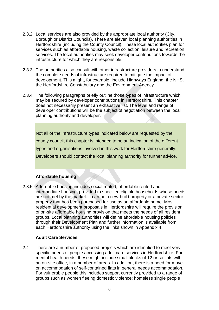- 2.3.2 Local services are also provided by the appropriate local authority (City, Borough or District Councils). There are eleven local planning authorities in Hertfordshire (including the County Council). These local authorities plan for services such as affordable housing, waste collection, leisure and recreation services. The local authorities may seek developer contributions towards the infrastructure for which they are responsible.
- 2.3.3 The authorities also consult with other infrastructure providers to understand the complete needs of infrastructure required to mitigate the impact of development. This might, for example, include Highways England, the NHS, the Hertfordshire Constabulary and the Environment Agency.
- 2.3.4 The following paragraphs briefly outline those types of infrastructure which may be secured by developer contributions in Hertfordshire. This chapter does not necessarily present an exhaustive list. The level and range of developer contributions will be the subject of negotiation between the local planning authority and developer.

Not all of the infrastructure types indicated below are requested by the county council, this chapter is intended to be an indication of the different types and organisations involved in this work for Hertfordshire generally. Developers should contact the local planning authority for further advice.

## **Affordable housing**

2.3.5 Affordable housing includes social rented, affordable rented and intermediate housing, provided to specified eligible households whose needs are not met by the market. It can be a new-build property or a private sector property that has been purchased for use as an affordable home. Most residential development proposals in Hertfordshire will require the provision of on-site affordable housing provision that meets the needs of all resident groups. Local planning authorities will define affordable housing policies through their Development Plan and further information is available from each Hertfordshire authority using the links shown in Appendix 4.

## **Adult Care Services**

2.4 There are a number of proposed projects which are identified to meet very specific needs of people accessing adult care services in Hertfordshire. For mental health needs, these might include small blocks of 12 or so flats with an on-site office, in a number of areas. In addition, there is a need for moveon accommodation of self-contained flats in general needs accommodation. For vulnerable people this includes support currently provided to a range of groups such as women fleeing domestic violence; homeless single people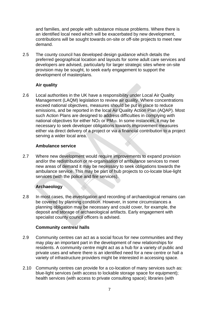and families, and people with substance misuse problems. Where there is an identified local need which will be exacerbated by new development, contributions will be sought towards on-site or off-site projects to meet new demand.

2.5 The county council has developed design guidance which details the preferred geographical location and layouts for some adult care services and developers are advised, particularly for larger strategic sites where on-site provision may be sought, to seek early engagement to support the development of masterplans.

# **Air quality**

2.6 Local authorities in the UK have a responsibility under Local Air Quality Management (LAQM) legislation to review air quality. Where concentrations exceed [national objectives,](http://www.legislation.gov.uk/uksi/2000/928/contents/made) measures should be put in place to reduce emissions, and be reported in the local Air Quality Action Plan (AQAP). Most such Action Plans are designed to address difficulties in complying with national objectives for either NO<sup>2</sup> or PM10. In some instances, it may be necessary to seek developer obligations towards improvement measures either via direct delivery of a project or via a financial contribution to a project serving a wider local area.

## **Ambulance service**

2.7 Where new development would require improvements to expand provision and/or the redistribution or re-organisation of ambulance services to meet new areas of demand it may be necessary to seek obligations towards the ambulance service. This may be part of hub projects to co-locate blue-light services (with the police and fire services).

# **Archaeology**

2.8 In most cases, the investigation and recording of archaeological remains can be covered by planning condition. However, in some circumstances a planning obligation may be necessary and could cover, for example, the deposit and storage of archaeological artifacts. Early engagement with specialist county council officers is advised.

## **Community centres/ halls**

- 2.9 Community centres can act as a social focus for new communities and they may play an important part in the development of new relationships for residents. A community centre might act as a hub for a variety of public and private uses and where there is an identified need for a new centre or hall a variety of infrastructure providers might be interested in accessing space.
- 2.10 Community centres can provide for a co-location of many services such as: blue-light services (with access to lockable storage space for equipment); health services (with access to private consulting space); libraries (with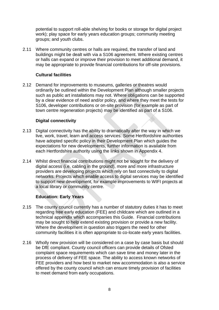potential to support roll-able shelving for books or storage for digital project work); play space for early years education groups; community meeting groups; and youth clubs.

2.11 Where community centres or halls are required, the transfer of land and buildings might be dealt with via a S106 agreement. Where existing centres or halls can expand or improve their provision to meet additional demand, it may be appropriate to provide financial contributions for off-site provisions.

# **Cultural facilities**

2.12 Demand for improvements to museums, galleries or theatres would ordinarily be outlined within the Development Plan although smaller projects such as public art installations may not. Where obligations can be supported by a clear evidence of need and/or policy, and where they meet the tests for S106, developer contributions or on-site provision (for example as part of town centre regeneration projects) may be identified as part of a S106.

# **Digital connectivity**

- 2.13 Digital connectivity has the ability to dramatically alter the way in which we live, work, travel, learn and access services. Some Hertfordshire authorities have adopted specific policy in their Development Plan which guides the expectations for new developments, further information is available from each Hertfordshire authority using the links shown in Appendix 4.
- 2.14 Whilst direct financial contributions might not be sought for the delivery of digital access (i.e. cabling in the ground), more and more infrastructure providers are developing projects which rely on fast connectivity to digital networks. Projects which enable access to digital services may be identified to support new development, for example improvements to WIFI projects at a local library or community centre.

## **Education: Early Years**

- 2.15 The county council currently has a number of statutory duties it has to meet regarding free early education (FEE) and childcare which are outlined in a technical appendix which accompanies this Guide. Financial contributions may be sought to help extend existing provision or provide a new facility. Where the development in question also triggers the need for other community facilities it is often appropriate to co-locate early years facilities.
- 2.16 Wholly new provision will be considered on a case by case basis but should be DfE compliant. County council officers can provide details of Ofsted complaint space requirements which can save time and money later in the process of delivery of FEE space. The ability to access known networks of FEE providers and how best to market new accommodation is also a service offered by the county council which can ensure timely provision of facilities to meet demand from early occupations.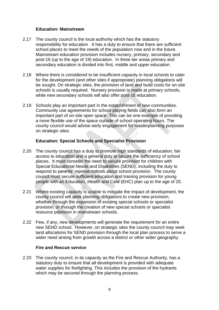## **Education: Mainstream**

- 2.17 The county council is the local authority which has the statutory responsibility for education. It has a duty to ensure that there are sufficient school places to meet the needs of the population now and in the future. Mainstream education provision includes nursery, primary, secondary and post-16 (up to the age of 19) education. In three tier areas primary and secondary education is divided into first, middle and upper education.
- 2.18 Where there is considered to be insufficient capacity in local schools to cater for the development (and other sites if appropriate) planning obligations will be sought. On strategic sites, the provision of land and build costs for on-site schools is usually required. Nursery provision is made at primary schools, while new secondary schools will also offer post-16 education.
- 2.19 Schools play an important part in the establishment of new communities. Community use agreements for school playing fields can also form an important part of on-site open space. This can be one example of providing a more flexible use of the space outside of school operating hours. The county council would advise early engagement for masterplanning purposes on strategic sites.

# **Education: Special Schools and Specialist Provision**

- 2.20 The county council has a duty to promote high standards of education, fair access to education and a general duty to secure the sufficiency of school places. It must consider the need to secure provision for children with Special Educational Needs and Disabilities (SEND), including the duty to respond to parents' representations about school provision. The county council must secure sufficient education and training provision for young people with an Education, Health and Care (EHC) plan up to the age of 25.
- 2.21 Where existing capacity is unable to mitigate the impact of development, the county council will seek planning obligations to create new provision, whether through the expansion of existing special schools or specialist provision, or through the creation of new special schools or specialist resource provision in mainstream schools.
- 2.22 Few, if any, new developments will generate the requirement for an entire new SEND school. However, on strategic sites the county council may seek land allocations for SEND provision through the local plan process to serve a wider need arising from growth across a district or other wider geography.

## **Fire and Rescue service**

2.23 The county council, in its capacity as the Fire and Rescue Authority, has a statutory duty to ensure that all development is provided with adequate water supplies for firefighting. This includes the provision of fire hydrants which may be secured through the planning process.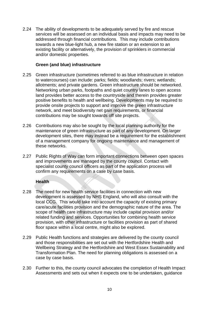2.24 The ability of developments to be adequately served by fire and rescue services will be assessed on an individual basis and impacts may need to be addressed through financial contributions. This may include contributions towards a new blue-light hub, a new fire station or an extension to an existing facility or alternatively, the provision of sprinklers in commercial and/or domestic properties.

## **Green (and blue) infrastructure**

- 2.25 Green infrastructure (sometimes referred to as blue infrastructure in relation to watercourses) can include: parks; fields; woodlands; rivers; wetlands; allotments; and private gardens. Green infrastructure should be networked. Networking urban parks, footpaths and quiet country lanes to open access land provides better access to the countryside and therein provides greater positive benefits to health and wellbeing. Developments may be required to provide onsite projects to support and improve the green infrastructure network, and meet biodiversity net gain requirements, or financial contributions may be sought towards off site projects.
- 2.26 Contributions may also be sought by the local planning authority for the maintenance of green infrastructure as part of any development. On larger development sites, there may instead be a requirement for the establishment of a management company for ongoing maintenance and management of these networks.
- 2.27 Public Rights of Way can form important connections between open spaces and improvements are managed by the county council. Contact with specialist county council officers as part of the application process will confirm any requirements on a case by case basis.

## **Health**

- 2.28 The need for new health service facilities in connection with new development is assessed by NHS England, who will also consult with the local CCG. This would take into account the capacity of existing primary care/acute facilities provision and the demographic nature of the area. The scope of health care infrastructure may include capital provision and/or related funding and services. Opportunities for combining health service provision, with other infrastructure or facilities provision as part of shared floor space within a local centre, might also be explored.
- 2.29 Public Health functions and strategies are delivered by the county council and those responsibilities are set out with the Hertfordshire Health and Wellbeing Strategy and the Hertfordshire and West Essex Sustainability and Transformation Plan. The need for planning obligations is assessed on a case by case basis.
- 2.30 Further to this, the county council advocates the completion of Health Impact Assessments and sets out when it expects one to be undertaken, guidance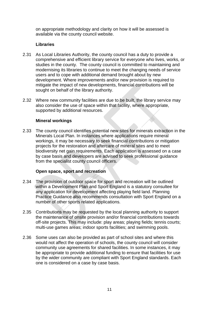on appropriate methodology and clarity on how it will be assessed is available via the county council website.

# **Libraries**

- 2.31 As Local Libraries Authority, the county council has a duty to provide a comprehensive and efficient library service for everyone who lives, works, or studies in the county. The county council is committed to maintaining and modernising its libraries to continue to meet the changing needs of service users and to cope with additional demand brought about by new development. Where improvements and/or new provision is required to mitigate the impact of new developments, financial contributions will be sought on behalf of the library authority.
- 2.32 Where new community facilities are due to be built, the library service may also consider the use of space within that facility, where appropriate, supported by additional resources.

# **Mineral workings**

2.33 The county council identifies potential new sites for minerals extraction in the Minerals Local Plan. In instances where applications require mineral workings, it may be necessary to seek financial contributions or mitigation projects for the restoration and aftercare of mineral sites and to meet biodiversity net gain requirements. Each application is assessed on a case by case basis and developers are advised to seek professional guidance from the specialist county council officers.

## **Open space, sport and recreation**

- 2.34 The provision of outdoor space for sport and recreation will be outlined within a Development Plan and Sport England is a statutory consultee for any application for development affecting playing field land. Planning Practice Guidance also recommends consultation with Sport England on a number of other sports related applications.
- 2.35 Contributions may be requested by the local planning authority to support the maintenance of onsite provision and/or financial contributions towards off-site projects. This may include: play areas; playing fields; tennis courts; multi-use games areas; indoor sports facilities; and swimming pools.
- 2.36 Some uses can also be provided as part of school sites and where this would not affect the operation of schools, the county council will consider community use agreements for shared facilities. In some instances, it may be appropriate to provide additional funding to ensure that facilities for use by the wider community are compliant with Sport England standards. Each one is considered on a case by case basis.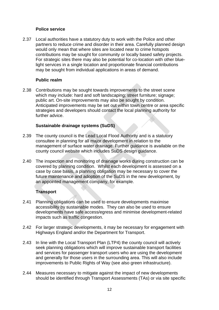## **Police service**

2.37 Local authorities have a statutory duty to work with the Police and other partners to reduce crime and disorder in their area. Carefully planned design would only mean that where sites are located near to crime hotspots contributions may be sought for community or locally based safety projects. For strategic sites there may also be potential for co-location with other bluelight services in a single location and proportionate financial contributions may be sought from individual applications in areas of demand.

# **Public realm**

2.38 Contributions may be sought towards improvements to the street scene which may include: hard and soft landscaping; street furniture; signage; public art. On-site improvements may also be sought by condition. Anticipated improvements may be set out within town centre or area specific strategies and developers should contact the local planning authority for further advice.

# **Sustainable drainage systems (SuDS)**

- 2.39 The county council is the Lead Local Flood Authority and is a statutory consultee in planning for all major development in relation to the management of surface water drainage. Further guidance is available on the county council website which includes SuDS design guidance.
- 2.40 The inspection and monitoring of drainage works during construction can be covered by planning condition. Whilst each development is assessed on a case by case basis, a planning obligation may be necessary to cover the future maintenance and adoption of the SuDS in the new development, by an appointed management company, for example.

# **Transport**

- 2.41 Planning obligations can be used to ensure developments maximise accessibility by sustainable modes. They can also be used to ensure developments have safe access/egress and minimise development-related impacts such as traffic congestion.
- 2.42 For larger strategic developments, it may be necessary for engagement with Highways England and/or the Department for Transport.
- 2.43 In line with the Local Transport Plan (LTP4) the county council will actively seek planning obligations which will improve sustainable transport facilities and services for passenger transport users who are using the development and generally for those users in the surrounding area. This will also include improvements to Public Rights of Way (see also green infrastructure).
- 2.44 Measures necessary to mitigate against the impact of new developments should be identified through Transport Assessments (TAs) or via site specific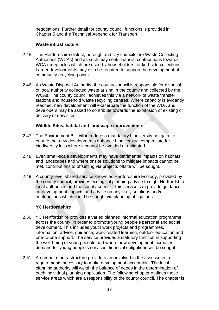negotiations. Further detail for county council functions is provided in Chapter 5 and the Technical Appendix for Transport.

# **Waste infrastructure**

- 2.45 The Hertfordshire district, borough and city councils are Waste Collecting Authorities (WCAs) and as such may seek financial contributions towards WCA receptacles which are used by householders for kerbside collections. Larger developments may also be required to support the development of community recycling points.
- 2.46 As Waste Disposal Authority, the county council is responsible for disposal of local authority collected waste arising in the county and collected by the WCAs. The county council achieves this via a network of waste transfer stations and household waste recycling centres. Where capacity is evidently reached, new development will exacerbate the function of the WDA and developers may be asked to contribute towards the expansion of existing or delivery of new sites.

# **Wildlife Sites, habitat and landscape improvements**

- 2.47 The Environment Bill will introduce a mandatory biodiversity net gain, to ensure that new developments enhance biodiversity; compensate for biodiversity loss where it cannot be avoided or mitigated.
- 2.48 Even small-scale developments may have detrimental impacts on habitats and landscapes and where onsite solutions to mitigate impacts cannot be met, contributions to offsetting via projects offsite will be sought.
- 2.49 A county-level shared service known as Hertfordshire Ecology, provided by the county council, provides ecological planning advice to eight Hertfordshire local authorities and the county council. This service can provide guidance on development impacts and advise on any likely solutions and/or contributions which could be sought via planning obligations.

# **YC Hertfordshire**

- 2.50 YC Hertfordshire provides a varied planned informal education programme across the county, in order to promote young people's personal and social development. This includes youth work projects and programmes, information, advice, guidance, work-related learning, outdoor education and one-to-one support. The service provides a statutory function in supporting the well-being of young people and where new development increases demand for young people's services, financial obligations will be sought.
- 2.51 A number of infrastructure providers are involved in the assessment of requirements necessary to make development acceptable. The local planning authority will weigh the balance of needs in the determination of each individual planning application. The following chapter outlines those service areas which are a responsibility of the county council. The chapter is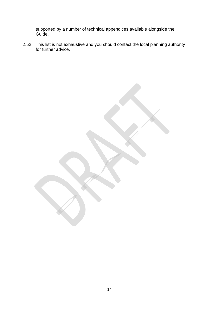supported by a number of technical appendices available alongside the Guide.

2.52 This list is not exhaustive and you should contact the local planning authority for further advice.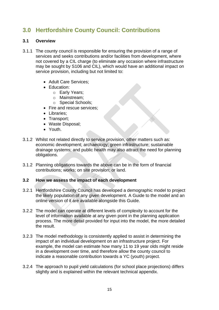# **3.0 Hertfordshire County Council: Contributions**

# **3.1 Overview**

- 3.1.1 The county council is responsible for ensuring the provision of a range of services and seeks contributions and/or facilities from development, where not covered by a CIL charge (to eliminate any occasion where infrastructure may be sought by S106 and CIL), which would have an additional impact on service provision, including but not limited to:
	- Adult Care Services;
	- Education:
		- o Early Years;
		- o Mainstream;
		- o Special Schools;
	- Fire and rescue services:
	- Libraries;
	- Transport;
	- Waste Disposal;
	- Youth.
- 3.1.2 Whilst not related directly to service provision, other matters such as: economic development; archaeology; green infrastructure; sustainable drainage systems; and public health may also attract the need for planning obligations.
- 3.1.2 Planning obligations towards the above can be in the form of financial contributions; works; on site provision; or land.

## **3.2 How we assess the impact of each development**

- 3.2.1 Hertfordshire County Council has developed a demographic model to project the likely population of any given development. A Guide to the model and an online version of it are available alongside this Guide.
- 3.2.2 The model can operate at different levels of complexity to account for the level of information available at any given point in the planning application process. The more detail provided for input into the model, the more detailed the result.
- 3.2.3 The model methodology is consistently applied to assist in determining the impact of an individual development on an infrastructure project. For example, the model can estimate how many 11 to 19 year olds might reside in a development over time, and therefore allow the county council to indicate a reasonable contribution towards a YC (youth) project.
- 3.2.4 The approach to pupil yield calculations (for school place projections) differs slightly and is explained within the relevant technical appendix.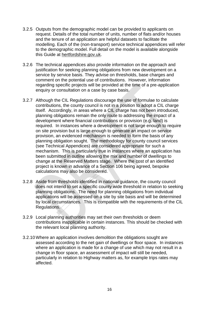- 3.2.5 Outputs from the demographic model can be provided to applicants on request. Details of the total number of units, number of flats and/or houses and the tenure of an application are helpful datasets to facilitate the modelling. Each of the (non-transport) service technical appendices will refer to the demographic model. Full detail on the model is available alongside this Guide at hertfordshire.gov.uk.
- 3.2.6 The technical appendices also provide information on the approach and justification for seeking planning obligations from new development on a service by service basis. They advise on thresholds, base charges and comment on the potential use of contributions. However, information regarding specific projects will be provided at the time of a pre-application enquiry or consultation on a case by case basis.
- 3.2.7 Although the CIL Regulations discourage the use of formulae to calculate contributions, the county council is not in a position to adopt a CIL charge itself. Accordingly, in areas where a CIL charge has not been introduced, planning obligations remain the only route to addressing the impact of a development where financial contributions or provision (e.g. land) is required. In instances where a development is not large enough to require on site provision but is large enough to generate an impact on service provision, an evidenced mechanism is needed to form the basis of any planning obligation sought. The methodology for county council services (see Technical Appendices) are considered appropriate for such a mechanism. This is particularly true in instances where an application has been submitted in outline allowing the mix and number of dwellings to change at the Reserved Matters stage. Where the cost of an identified project is known in advance of a Section 106 being agreed, bespoke calculations may also be considered.
- 3.2.8 Aside from thresholds identified in national guidance, the county council does not intend to set a specific county wide threshold in relation to seeking planning obligations. The need for planning obligations from individual applications will be assessed on a site by site basis and will be determined by local circumstances. This is compatible with the requirements of the CIL Regulations.
- 3.2.9 Local planning authorities may set their own thresholds or deem contributions inapplicable in certain instances. This should be checked with the relevant local planning authority.
- 3.2.10 Where an application involves demolition the obligations sought are assessed according to the net gain of dwellings or floor space. In instances where an application is made for a change of use which may not result in a change in floor space, an assessment of impact will still be needed, particularly in relation to Highway matters as, for example trips rates may affected.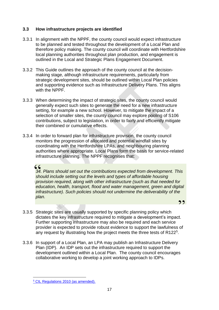# **3.3 How infrastructure projects are identified**

- 3.3.1 In alignment with the NPPF, the county council would expect infrastructure to be planned and tested throughout the development of a Local Plan and therefore policy making. The county council will coordinate with Hertfordshire local planning authorities throughout plan production, and engagement is outlined in the Local and Strategic Plans Engagement Document.
- 3.3.2 This Guide outlines the approach of the county council at the decisionmaking stage, although infrastructure requirements, particularly from strategic development sites, should be outlined within Local Plan policies and supporting evidence such as Infrastructure Delivery Plans. This aligns with the NPPF.
- 3.3.3 When determining the impact of strategic sites, the county council would generally expect such sites to generate the need for a new infrastructure setting, for example a new school. However, to mitigate the impact of a selection of smaller sites, the county council may explore pooling of S106 contributions, subject to legislation, in order to fairly and efficiently mitigate their combined or cumulative effects.
- 3.3.4 In order to forward plan for infrastructure provision, the county council monitors the progression of allocated and potential windfall sites by coordinating with the Hertfordshire LPAs, and neighbouring planning authorities where appropriate. Local Plans form the basis for service-related infrastructure planning. The NPPF recognises that:

# 

*34. Plans should set out the contributions expected from development. This should include setting out the levels and types of affordable housing provision required, along with other infrastructure (such as that needed for education, health, transport, flood and water management, green and digital infrastructure). Such policies should not undermine the deliverability of the plan.* 

22

- 3.3.5 Strategic sites are usually supported by specific planning policy which dictates the key infrastructure required to mitigate a development's impact. Further supporting infrastructure may also be required and each service provider is expected to provide robust evidence to support the lawfulness of any request by illustrating how the project meets the three tests of R122<sup>5</sup>.
- 3.3.6 In support of a Local Plan, an LPA may publish an Infrastructure Delivery Plan (IDP). An IDP sets out the infrastructure required to support the development outlined within a Local Plan. The county council encourages collaborative working to develop a joint working approach to IDPs.

<sup>5</sup> [CIL Regulations 2010 \(as amended\).](https://www.legislation.gov.uk/ukdsi/2010/9780111492390/contents)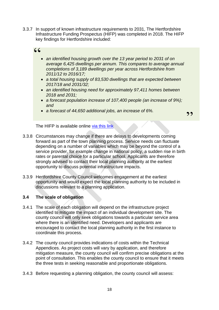3.3.7 In support of known infrastructure requirements to 2031, The Hertfordshire Infrastructure Funding Prospectus (HIFP) was completed in 2018. The HIFP key findings for Hertfordshire included:

# $66$

- *an identified housing growth over the 13 year period to 2031 of on average 6,425 dwellings per annum. This compares to average annual completions of 3,189 dwellings per year across Hertfordshire from 2011/12 to 2016/17;*
- *a total housing supply of 83,530 dwellings that are expected between 2017/18 and 2031/32;*
- *an identified housing need for approximately 97,411 homes between 2018 and 2031;*
- *a forecast population increase of 107,400 people (an increase of 9%); and*
- *a forecast of 44,650 additional jobs, an increase of 6%.*

22

The HIFP is available online [via this link](https://democracy.hertfordshire.gov.uk/documents/s5224/13%20Item%207%20Appendix%201%20Herts%20Funding%20Prospectus.pdf)

- 3.3.8 Circumstances may change if there are delays to developments coming forward as part of the town planning process. Service needs can fluctuate depending on a number of variables which may be beyond the control of a service provider, for example change in national policy, a sudden rise in birth rates or parental choice for a particular school. Applicants are therefore strongly advised to contact their local planning authority at the earliest opportunity to discuss potential infrastructure impacts.
- 3.3.9 Hertfordshire County Council welcomes engagement at the earliest opportunity and would expect the local planning authority to be included in discussions relevant to a planning application.

# **3.4 The scale of obligation**

- 3.4.1 The scale of each obligation will depend on the infrastructure project identified to mitigate the impact of an individual development site. The county council will only seek obligations towards a particular service area where there is an identified need. Developers and applicants are encouraged to contact the local planning authority in the first instance to coordinate this process.
- 3.4.2 The county council provides indications of costs within the Technical Appendices. As project costs will vary by application, and therefore mitigation measure, the county council will confirm precise obligations at the point of consultation. This enables the county council to ensure that it meets the three tests in seeking reasonable and proportionate obligations.
- 3.4.3 Before requesting a planning obligation, the county council will assess: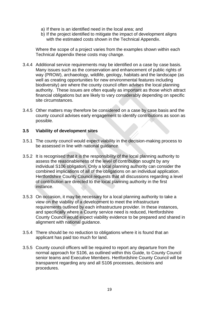- a) If there is an identified need in the local area; and
- b) If the project identified to mitigate the impact of development aligns with the estimated costs shown in the Technical Appendix.

Where the scope of a project varies from the examples shown within each Technical Appendix these costs may change.

- 3.4.4 Additional service requirements may be identified on a case by case basis. Many issues such as the conservation and enhancement of public rights of way (PROW), archaeology, wildlife, geology, habitats and the landscape (as well as creating opportunities for new environmental features including biodiversity) are where the county council often advises the local planning authority. These issues are often equally as important as those which attract financial obligations but are likely to vary considerably depending on specific site circumstances.
- 3.4.5 Other matters may therefore be considered on a case by case basis and the county council advises early engagement to identify contributions as soon as possible.

## **3.5 Viability of development sites**

- 3.5.1 The county council would expect viability in the decision-making process to be assessed in line with national guidance.
- 3.5.2 It is recognised that it is the responsibility of the local planning authority to assess the reasonableness of the level of contribution sought by any individual S106 obligation. Only a local planning authority can consider the combined implications of all of the obligations on an individual application. Hertfordshire County Council requests that all discussions regarding a level of contribution are directed to the local planning authority in the first instance.
- 3.5.3 On occasion, it may be necessary for a local planning authority to take a view on the viability of a development to meet the infrastructure requirements outlined by each infrastructure provider. In these instances, and specifically where a County service need is reduced, Hertfordshire County Council would expect viability evidence to be prepared and shared in alignment with national guidance.
- 3.5.4 There should be no reduction to obligations where it is found that an applicant has paid too much for land.
- 3.5.5 County council officers will be required to report any departure from the normal approach for S106, as outlined within this Guide, to County Council senior teams and Executive Members. Hertfordshire County Council will be transparent regarding any and all S106 processes, decisions and procedures.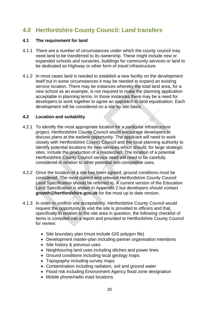# **4.0 Hertfordshire County Council: Land transfers**

# **4.1 The requirement for land**

- 4.1.1 There are a number of circumstances under which the county council may need land to be transferred to its ownership. These might include new or expanded schools and nurseries, buildings for community services or land to be dedicated as Highway or other form of travel infrastructure.
- 4.1.2 In most cases land is needed to establish a new facility on the development itself but in some circumstances it may be needed to expand an existing service location. There may be instances whereby the total land area, for a new school as an example, is not required to make the planning application acceptable in planning terms. In those instances there may be a need for developers to work together to agree an approach to land equalisation. Each development will be considered on a site by site basis.

# **4.2 Location and suitability**

- 4.2.1 To identify the most appropriate location for a particular infrastructure project, Hertfordshire County Council would encourage developers to discuss plans at the earliest opportunity. The applicant will need to work closely with Hertfordshire County Council and the local planning authority to identify potential locations for new services which should, for large strategic sites, include the production of a masterplan. The location of a potential Hertfordshire County Council service need will need to be carefully considered in relation to other potential non-compatible uses.
- 4.2.2 Once the location of a site has been agreed, ground conditions must be considered. The most current and relevant Hertfordshire County Council Land Specification should be referred to. A current version of the Education Land Specification is shown in Appendix 2 but developers should contact **growth@hertfordshire.gov.uk** for the most up to date version.
- 4.1.3 In order to confirm site acceptability, Hertfordshire County Council would request the opportunity to visit the site is provided to officers and that, specifically in relation to the site area in question, the following checklist of items is compiled into a report and provided to Hertfordshire County Council for review:
	- Site boundary plan (must include GIS polygon file)
	- Development master-plan including partner organisation intentions
	- Site history & previous uses
	- Neighbouring land uses including ditches and power lines
	- Ground conditions including local geology maps
	- Topography including survey maps
	- Contamination including radiation, soil and ground water
	- Flood risk including Environment Agency flood zone designation
	- Mobile phone/radio mast locations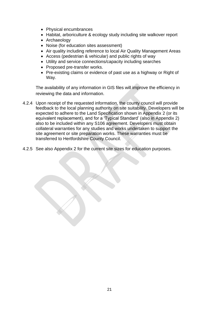- Physical encumbrances
- Habitat, arboriculture & ecology study including site walkover report
- Archaeology
- Noise (for education sites assessment)
- Air quality including reference to local Air Quality Management Areas
- Access (pedestrian & vehicular) and public rights of way
- Utility and service connections/capacity including searches
- Proposed pre-transfer works.
- Pre-existing claims or evidence of past use as a highway or Right of Way.

The availability of any information in GIS files will improve the efficiency in reviewing the data and information.

- 4.2.4 Upon receipt of the requested information, the county council will provide feedback to the local planning authority on site suitability. Developers will be expected to adhere to the Land Specification shown in Appendix 2 (or its equivalent replacement), and for a 'Typical Standard' (also in Appendix 2) also to be included within any S106 agreement. Developers must obtain collateral warranties for any studies and works undertaken to support the site agreement or site preparation works. These warranties must be transferred to Hertfordshire County Council.
- 4.2.5 See also Appendix 2 for the current site sizes for education purposes.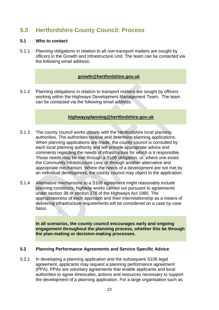# **5.0 Hertfordshire County Council: Process**

# **5.1 Who to contact**

5.1.1 Planning obligations in relation to all non-transport matters are sought by officers in the Growth and Infrastructure Unit. The team can be contacted via the following email address:

# **[growth@hertfordshire.gov.uk](mailto:growth@hertfordshire.gov.uk)**

5.1.2 Planning obligations in relation to transport matters are sought by officers working within the Highways Development Management Team. The team can be contacted via the following email address:

# **[highwaysplanning@hertfordshire.gov.uk](mailto:highwaysplanning@hertfordshire.gov.uk)**

- 5.1.3 The county council works closely with the Hertfordshire local planning authorities. The authorities receive and determine planning applications. When planning applications are made, the county council is consulted by each local planning authority and will provide appropriate advice and comments regarding the needs of infrastructure for which is it responsible. Those needs may be met through a S106 obligation, or, where one exists the Community Infrastructure Levy or through another alternative and appropriate mechanism. Where the needs of a development are not met by an individual development, the county council may object to the application.
- 5.1.4 Alternative mechanisms to a S106 agreement might reasonably include planning conditions, highway works carried out pursuant to agreements under section 38 or section 278 of the Highways Act 1980. The appropriateness of each approach and their interrelationship as a means of delivering infrastructure requirements will be considered on a case by case basis.

**In all scenarios, the county council encourages early and ongoing engagement throughout the planning process, whether this be through the plan-making or decision-making processes.** 

## **5.2 Planning Performance Agreements and Service Specific Advice**

5.2.1 In developing a planning application and the subsequent S106 legal agreement, applicants may request a planning performance agreement (PPA). PPAs are voluntary agreements that enable applicants and local authorities to agree timescales, actions and resources necessary to support the development of a planning application. For a large organisation such as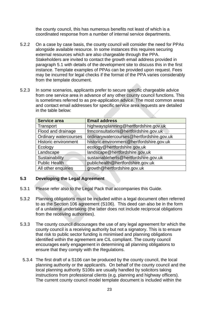the county council, this has numerous benefits not least of which is a coordinated response from a number of internal service departments.

- 5.2.2 On a case by case basis, the county council will consider the need for PPAs alongside available resource. In some instances this requires securing external resources which are also chargeable through the PPA. Stakeholders are invited to contact the growth email address provided in paragraph 5.1 with details of the development site to discuss this in the first instance. Template examples of PPAs can be provided upon request. Fees may be incurred for legal checks if the format of the PPA varies considerably from the template document.
- 5.2.3 In some scenarios, applicants prefer to secure specific chargeable advice from one service area in advance of any other county council functions. This is sometimes referred to as pre-application advice. The most common areas and contact email addresses for specific service area requests are detailed in the table below:

| <b>Service area</b>          | <b>Email address</b>                      |
|------------------------------|-------------------------------------------|
| Transport                    | highwaysplanning@hertfordshire.gov.uk     |
| Flood and drainage           | frmconsultations@hertfordshire.gov.uk     |
| <b>Ordinary watercourses</b> | ordinarywatercourses@hertfordshire.gov.uk |
| Historic environment         | historic.environment@hertfordshire.gov.uk |
| Ecology                      | ecology@hertfordshire.gov.uk              |
| Landscape                    | landscape@hertfordshire.gov.uk            |
| Sustainability               | sustainableherts@hertfordshire.gov.uk     |
| <b>Public Health</b>         | publichealth@hertfordshire.gov.uk         |
| All other enquiries          | growth@hertfordshire.gov.uk               |

## **5.3 Developing the Legal Agreement**

- 5.3.1 Please refer also to the Legal Pack that accompanies this Guide.
- 5.3.2 Planning obligations must be included within a legal document often referred to as the Section 106 agreement (S106). This deed can also be in the form of a unilateral undertaking (the latter does not include reciprocal obligations from the receiving authorities).
- 5.3.3 The county council discourages the use of any legal agreement for which the county council is a receiving authority but not a signatory. This is to ensure that risk to public sector funding is minimised and planning obligations identified within the agreement are CIL compliant. The county council encourages early engagement in determining all planning obligations to ensure that they comply with the Regulations.
	- 5.3.4 The first draft of a S106 can be produced by the county council, the local planning authority or the applicant/s. On behalf of the county council and the local planning authority S106s are usually handled by solicitors taking instructions from professional clients (e.g. planning and highway officers). The current county council model template document is included within the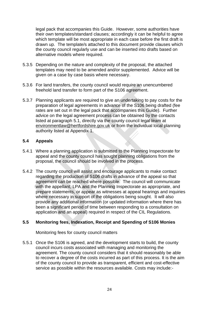legal pack that accompanies this Guide. However, some authorities have their own templates/standard clauses; accordingly it can be helpful to agree which template will be most appropriate in each case before the first draft is drawn up. The template/s attached to this document provide clauses which the county council regularly use and can be inserted into drafts based on alternative models where required.

- 5.3.5 Depending on the nature and complexity of the proposal, the attached templates may need to be amended and/or supplemented. Advice will be given on a case by case basis where necessary.
- 5.3.6 For land transfers, the county council would require an unencumbered freehold land transfer to form part of the S106 agreement.
- 5.3.7 Planning applicants are required to give an undertaking to pay costs for the preparation of legal agreements in advance of the S106 being drafted (fee rates are set out in the legal pack that accompanies this Guide). Further advice on the legal agreement process can be obtained by the contacts listed at paragraph 5.1, directly via the county council legal team at [environmentlaw@hertfordshire.gov.uk](mailto:environmentlaw@hertfordshire.gov.uk) or from the individual local planning authority listed at Appendix 1.

# **5.4 Appeals**

- 5.4.1 Where a planning application is submitted to the Planning Inspectorate for appeal and the county council has sought planning obligations from the proposal, the council should be involved in the process.
- 5.4.2 The county council will assist and encourage applicants to make contact regarding the production of S106 drafts in advance of the appeal so that agreement can be reached where possible. The council will communicate with the appellant, LPA and the Planning Inspectorate as appropriate, and prepare statements, or appear as witnesses at appeal hearings and inquiries where necessary in support of the obligations being sought. It will also provide any additional information (or updated information where there has been a significant period of time between responding to a consultation on application and an appeal) required in respect of the CIL Regulations.

# **5.5 Monitoring fees, Indexation, Receipt and Spending of S106 Monies**

Monitoring fees for county council matters

5.5.1 Once the S106 is agreed, and the development starts to build, the county council incurs costs associated with managing and monitoring the agreement. The county council considers that it should reasonably be able to recover a degree of the costs incurred as part of this process. It is the aim of the county council to provide as transparent, efficient and cost-effective service as possible within the resources available. Costs may include:-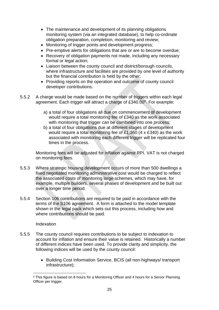- The maintenance and development of its planning obligations monitoring system (via an integrated database), to help co-ordinate obligation preparation, completion, monitoring and review;
- Monitoring of trigger points and development progress;
- Pre-emptive alerts for obligations that are or are to become overdue;
- Recovery of obligation payments not made, including any necessary formal or legal action;
- Liaison between the county council and district/borough councils, where infrastructure and facilities are provided by one level of authority but the financial contribution is held by the other;
- Providing reports on the operation and outcome of county council developer contributions.
- 5.5.2 A charge would be made based on the number of triggers within each legal agreement. Each trigger will attract a charge of £340.00<sup>6</sup>. For example:
	- a) a total of four obligations all due on commencement of development would require a total monitoring fee of £340 as the work associated with monitoring that trigger can be combined into one process;
	- b) a total of four obligations due at different stages of development would require a total monitoring fee of £1,360 (4 x £340) as the work associated with monitoring each different trigger will be replicated four times in the process.

Monitoring fees will be adjusted for inflation against RPI. VAT is not charged on monitoring fees.

- 5.5.3 Where strategic housing development occurs of more than 500 dwellings a fixed negotiated monitoring administrative cost would be charged to reflect the associated costs of monitoring large schemes, which may have, for example, multiple builders, several phases of development and be built out over a longer time period.
- 5.5.4 Section 106 contributions are required to be paid in accordance with the terms of the S106 agreement. A form is attached to the model template shown in the legal pack which sets out this process, including how and where contributions should be paid.

Indexation

- 5.5.5 The county council requires contributions to be subject to indexation to account for inflation and ensure their value is retained. Historically a number of different indices have been used. To provide clarity and simplicity, the following indices will be used by the county council:
	- Building Cost Information Service, BCIS (all non-highways/ transport infrastructure);

<sup>&</sup>lt;sup>6</sup> This figure is based on 8 hours for a Monitoring Officer and 4 hours for a Senior Planning Officer per trigger.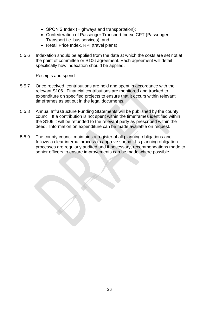- SPON'S Index (Highways and transportation);
- Confederation of Passenger Transport Index, CPT (Passenger Transport i.e. bus services); and
- Retail Price Index, RPI (travel plans).
- 5.5.6 Indexation should be applied from the date at which the costs are set not at the point of committee or S106 agreement. Each agreement will detail specifically how indexation should be applied.

Receipts and spend

- 5.5.7 Once received, contributions are held and spent in accordance with the relevant S106. Financial contributions are monitored and tracked to expenditure on specified projects to ensure that it occurs within relevant timeframes as set out in the legal documents.
- 5.5.8 Annual Infrastructure Funding Statements will be published by the county council. If a contribution is not spent within the timeframes identified within the S106 it will be refunded to the relevant party as prescribed within the deed. Information on expenditure can be made available on request.
- 5.5.9 The county council maintains a register of all planning obligations and follows a clear internal process to approve spend. Its planning obligation processes are regularly audited and if necessary, recommendations made to senior officers to ensure improvements can be made where possible.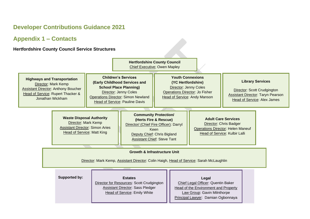# **Developer Contributions Guidance 2021**

# **Appendix 1 – Contacts**

# **Hertfordshire County Council Service Structures**

|                                                                                                                                                                                                                                                                                                                                                                                                                                                                   |                                                                                                                                                                                                                    | <b>Hertfordshire County Council</b><br><b>Chief Executive; Owen Mapley</b>                                                                                    |                                                                                                                                          |
|-------------------------------------------------------------------------------------------------------------------------------------------------------------------------------------------------------------------------------------------------------------------------------------------------------------------------------------------------------------------------------------------------------------------------------------------------------------------|--------------------------------------------------------------------------------------------------------------------------------------------------------------------------------------------------------------------|---------------------------------------------------------------------------------------------------------------------------------------------------------------|------------------------------------------------------------------------------------------------------------------------------------------|
| <b>Highways and Transportation</b><br><b>Director: Mark Kemp</b><br><b>Assistant Director: Anthony Boucher</b><br>Head of Service: Rupert Thacker &<br>Jonathan Wickham                                                                                                                                                                                                                                                                                           | <b>Children's Services</b><br>(Early Childhood Services and<br><b>School Place Planning)</b><br><b>Director: Jenny Coles</b><br><b>Operations Director: Simon Newland</b><br><b>Head of Service: Pauline Davis</b> | <b>Youth Connexions</b><br>(YC Hertfordshire)<br><b>Director: Jenny Coles</b><br><b>Operations Director: Jo Fisher</b><br><b>Head of Service: Andy Manson</b> | <b>Library Services</b><br>Director: Scott Crudgington<br><b>Assistant Director: Taryn Pearson</b><br><b>Head of Service: Alex James</b> |
| <b>Community Protection/</b><br><b>Waste Disposal Authority</b><br><b>Adult Care Services</b><br>(Herts Fire & Rescue)<br><b>Director: Mark Kemp</b><br>Director: Chris Badger<br>Director/ (Chief Fire Officer): Darryl<br><b>Assistant Director: Simon Aries</b><br><b>Operations Director: Helen Maneuf</b><br>Keen<br><b>Head of Service: Matt King</b><br>Head of Service: Kulbir Lalli<br>Deputy Chief: Chris Bigland<br><b>Assistant Chief: Steve Tant</b> |                                                                                                                                                                                                                    |                                                                                                                                                               |                                                                                                                                          |
|                                                                                                                                                                                                                                                                                                                                                                                                                                                                   | Director: Mark Kemp, Assistant Director: Colin Haigh, Head of Service: Sarah McLaughlin                                                                                                                            | <b>Growth &amp; Infrastructure Unit</b>                                                                                                                       |                                                                                                                                          |
|                                                                                                                                                                                                                                                                                                                                                                                                                                                                   |                                                                                                                                                                                                                    |                                                                                                                                                               |                                                                                                                                          |
| Supported by:                                                                                                                                                                                                                                                                                                                                                                                                                                                     | <b>Estates</b><br>Director for Resources: Scott Crudgington<br>Assistant Director: Sass Pledger<br>Head of Service: Emily White                                                                                    | Legal<br>Chief Legal Officer: Quentin Baker<br>Head of the Environment and Property<br>Law Group: Gavin Milnthorpe<br>Principal Lawyer: Damian Ogbonnaya      |                                                                                                                                          |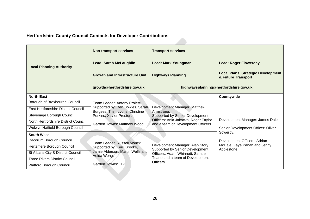# **Hertfordshire County Council Contacts for Developer Contributions**

|                                      | <b>Non-transport services</b>                                                                                                       | <b>Transport services</b>                                                                                             |                                                                 |
|--------------------------------------|-------------------------------------------------------------------------------------------------------------------------------------|-----------------------------------------------------------------------------------------------------------------------|-----------------------------------------------------------------|
| <b>Local Planning Authority</b>      | <b>Lead: Sarah McLaughlin</b>                                                                                                       | <b>Lead: Mark Youngman</b>                                                                                            | <b>Lead: Roger Flowerday</b>                                    |
|                                      | <b>Growth and Infrastructure Unit</b>                                                                                               | <b>Highways Planning</b>                                                                                              | <b>Local Plans, Strategic Development</b><br>& Future Transport |
|                                      | growth@hertfordshire.gov.uk                                                                                                         | highwaysplanning@hertfordshire.gov.uk                                                                                 |                                                                 |
| <b>North East</b>                    |                                                                                                                                     |                                                                                                                       | Countywide                                                      |
| Borough of Broxbourne Council        | Team Leader: Antony Proietti.                                                                                                       |                                                                                                                       |                                                                 |
| East Hertfordshire District Council  | Supported by: Ben Bowles, Sarah<br>Burgess, Trish Lyons, Christine<br>Perkins, Xavier Preston.<br><b>Garden Towns: Matthew Wood</b> | Development Manager: Matthew<br>Armstrong.                                                                            |                                                                 |
| Stevenage Borough Council            |                                                                                                                                     | <b>Supported by Senior Development</b><br>Officers: Ania Jakacka, Roger Taylor<br>and a team of Development Officers. |                                                                 |
| North Hertfordshire District Council |                                                                                                                                     |                                                                                                                       | Development Manager: James Dale.                                |
| Welwyn Hatfield Borough Council      |                                                                                                                                     |                                                                                                                       | Senior Development Officer: Oliver                              |
| <b>South West</b>                    |                                                                                                                                     |                                                                                                                       | Sowerby.                                                        |
| Dacorum Borough Council              | Team Leader: Russell Monck.                                                                                                         |                                                                                                                       | Development Officers: Adrian                                    |
| Hertsmere Borough Council            | Supported by: Terri Brooks,                                                                                                         | Development Manager: Alan Story.<br>Supported by Senior Development                                                   | McHale, Faye Panah and Jenny<br>Applestone.                     |
| St Albans City & District Council    | Jamie Alderson, Martin Wells and<br>Velda Wong.                                                                                     | Officers: Adam Whinnett, Samuel                                                                                       |                                                                 |
| <b>Three Rivers District Council</b> |                                                                                                                                     | Tearle and a team of Development<br>Officers.                                                                         |                                                                 |
| <b>Watford Borough Council</b>       | Garden Towns: TBC.                                                                                                                  |                                                                                                                       |                                                                 |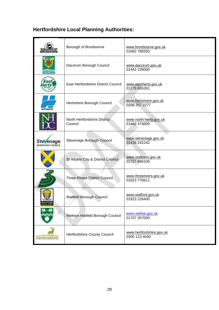| <b>BOROUGH OF<br/>BROXBOURNE</b>           | Borough of Broxbourne                   | www.broxbourne.gov.uk<br>01992 785555     |
|--------------------------------------------|-----------------------------------------|-------------------------------------------|
| <b>DACORUM</b><br>BOROUGI                  | Dacorum Borough Council                 | www.dacorum.gov.uk<br>01442 228000        |
|                                            | East Hertfordshire District Council     | www.eastherts.gov.uk<br>01279 655261      |
| <b>HERTSMERE</b>                           | Hertsmere Borough Council               | www.hertsmere.gov.uk<br>0208 207 2277     |
|                                            | North Hertfordshire District<br>Council | www.north-herts.gov.uk<br>01462 474000    |
| <b>Stevenage</b><br><b>BOROUGH COUNCIL</b> | Stevenage Borough Council               | www.stevenage.gov.uk<br>01438 242242      |
|                                            | St Albans City & District Council       | www.stalbans.gov.uk<br>01727 866100       |
|                                            | <b>Three Rivers District Council</b>    | www.threerivers.gov.uk<br>01923 776611    |
| <b>WATFORD</b>                             | <b>Watford Borough Council</b>          | www.watford.gov.uk<br>01923 226400        |
|                                            | Welwyn Hatfield Borough Council         | www.welhat.gov.uk<br>01707 357000         |
| <b>Hertfordshire</b>                       | Hertfordshire County Council            | www.hertfordshire.gov.uk<br>0300 123 4040 |

# **Hertfordshire Local Planning Authorities:**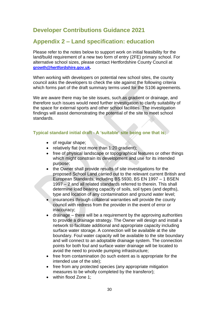# **Developer Contributions Guidance 2021**

# **Appendix 2 – Land specification: education**

Please refer to the notes below to support work on initial feasibility for the land/build requirement of a new two form of entry (2FE) primary school. For alternative school sizes, please contact Hertfordshire County Council at **[growth@hertfordshire.gov.uk](mailto:growth@hertfordshire.gov.uk).**

When working with developers on potential new school sites, the county council asks the developers to check the site against the following criteria which forms part of the draft summary terms used for the S106 agreements.

We are aware there may be site issues, such as gradient or drainage, and therefore such issues would need further investigation to clarify suitability of the space for external sports and other school facilities. The investigation findings will assist demonstrating the potential of the site to meet school standards.

# **Typical standard initial draft - A 'suitable' site being one that is;**

- of regular shape;
- relatively flat (not more than 1:20 gradient);
- free of physical landscape or topographical features or other things which might constrain its development and use for its intended purpose;
- the Owner shall provide results of site investigations for the proposed School Land carried out to the relevant current British and European Standards, including BS 5930, BS EN 1997 – 1 BSEN 1997 – 2 and all related standards referred to therein. This shall determine load bearing capacity of soils, soil types (and depths), type and location of any contamination and ground water level;
- insurances through collateral warranties will provide the county council with redress from the provider in the event of error or inaccuracy;
- drainage there will be a requirement by the approving authorities to provide a drainage strategy. The Owner will design and install a network to facilitate additional and appropriate capacity including surface water storage. A connection will be available at the site boundary. Foul water capacity will be available to the site boundary and will connect to an adoptable drainage system. The connection points for both foul and surface water drainage will be located to avoid the need to provide pumping infrastructure;
- free from contamination (to such extent as is appropriate for the intended use of the site);
- free from any protected species (any appropriate mitigation measures to be wholly completed by the transferor);
- within flood Zone 1: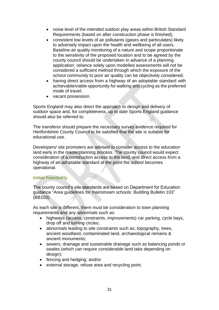- noise level of the intended outdoor play areas within British Standard Requirements (based on after construction phase is finished);
- consistent low levels of air pollutants (gases and particulates) likely to adversely impact upon the health and wellbeing of all users. Baseline air quality monitoring of a nature and scope proportionate to the sensitivity of the proposed location and to be agreed by the county council should be undertaken in advance of a planning application; reliance solely upon modelled assessments will not be considered a sufficient method through which the exposure of the school community to poor air quality can be objectively considered;
- having direct access from a highway of an adoptable standard with achievable/viable opportunity for walking and cycling as the preferred mode of travel;
- vacant possession.

Sports England may also direct the approach to design and delivery of outdoor space and, for completeness, up to date Sports England guidance should also be referred to.

The transferor should prepare the necessary survey evidence required for Hertfordshire County Council to be satisfied that the site is suitable for educational use.

Developers/ site promoters are advised to consider access to the education land early in the masterplanning process. The county council would expect consideration of a construction access to the land, and direct access from a highway of an adoptable standard at the point the school becomes operational.

#### **Initial Feasibility**

The county council's site standards are based on Department for Education guidance "Area guidelines for mainstream schools: Building Bulletin 103" (BB103).

As each site is different, there must be consideration to town planning requirements and any abnormals such as:

- highways (access, constraints, improvements) car parking, cycle bays, drop off and turning circles;
- abnormals leading to site constraints such as; topography, trees, ancient woodland, contaminated land, archaeological remains & ancient monuments;
- sewers, drainage and sustainable drainage such as balancing ponds or swales (which can require considerable land take depending on design);
- fencing and hedging; and/or
- external storage, refuse area and recycling point.